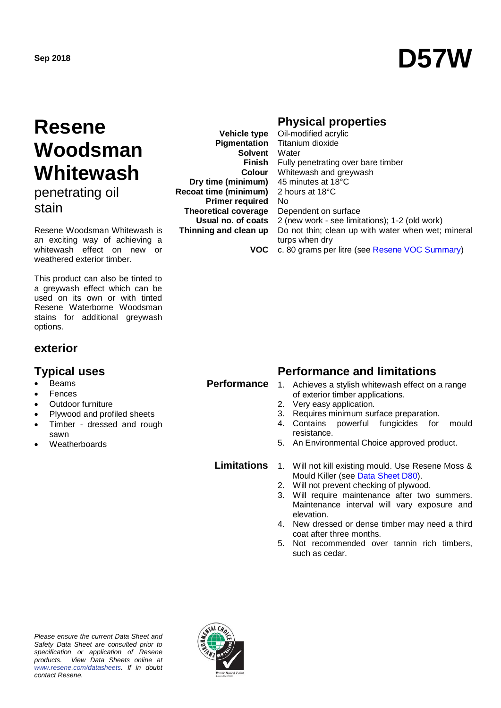# **Sep 2018 D57W**

## **Resene Woodsman Whitewash**

penetrating oil stain

Resene Woodsman Whitewash is an exciting way of achieving a whitewash effect on new or weathered exterior timber.

This product can also be tinted to a greywash effect which can be used on its own or with tinted Resene Waterborne Woodsman stains for additional greywash options.

## **exterior**

## **Typical uses Performance and limitations**

- Beams
- **Fences**
- Outdoor furniture
- Plywood and profiled sheets
- Timber dressed and rough sawn
- **Weatherboards**

**Vehicle type Pigmentation Solvent Finish Colour Dry time (minimum) Recoat time (minimum) Primer required Theoretical coverage Usual no. of coats Thinning and clean up**

## **Physical properties**

**VOC** Oil-modified acrylic Titanium dioxide **Water** Fully penetrating over bare timber Whitewash and greywash 45 minutes at 18°C 2 hours at 18°C No Dependent on surface 2 (new work - see limitations); 1-2 (old work) Do not thin; clean up with water when wet; mineral turps when dry c. 80 grams per litre (see [Resene VOC Summary\)](http://www.resene.co.nz/archspec/datashts/vocsummary.pdf)

## **Performance**

- 1. Achieves a stylish whitewash effect on a range of exterior timber applications.
- 2. Very easy application.
- 3. Requires minimum surface preparation.
- 4. Contains powerful fungicides for mould resistance.
- 5. An Environmental Choice approved product.

**Limitations** 1. Will not kill existing mould. Use Resene Moss & Mould Killer (see Data Sheet D80).

- 2. Will not prevent checking of plywood.<br>3. Will require maintenance after two
- Will require maintenance after two summers. Maintenance interval will vary exposure and elevation.
- 4. New dressed or dense timber may need a third coat after three months.
- 5. Not recommended over tannin rich timbers, such as cedar.